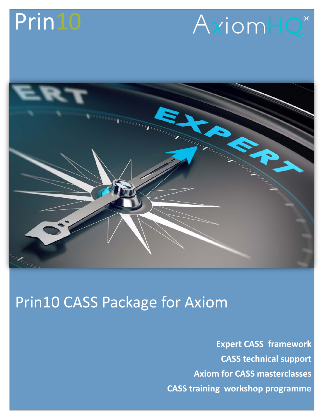## Prin10





## Prin10 CASS Package for Axiom

**Expert CASS framework CASS technical support Axiom for CASS masterclasses CASS training workshop programme**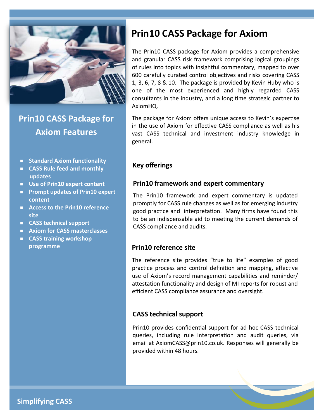

**Prin10 CASS Package for Axiom Features**

- **Standard Axiom functionality**
- **CASS Rule feed and monthly updates**
- **Use of Prin10 expert content**
- **Prompt updates of Prin10 expert content**
- **Access to the Prin10 reference site**
- **CASS technical support**
- **Axiom for CASS masterclasses**
- **CASS training workshop programme**

## **Prin10 CASS Package for Axiom**

The Prin10 CASS package for Axiom provides a comprehensive and granular CASS risk framework comprising logical groupings of rules into topics with insightful commentary, mapped to over 600 carefully curated control objectives and risks covering CASS 1, 3, 6, 7, 8 & 10. The package is provided by Kevin Huby who is one of the most experienced and highly regarded CASS consultants in the industry, and a long time strategic partner to AxiomHQ.

The package for Axiom offers unique access to Kevin's expertise in the use of Axiom for effective CASS compliance as well as his vast CASS technical and investment industry knowledge in general.

## **Key offerings**

## **Prin10 framework and expert commentary**

The Prin10 framework and expert commentary is updated promptly for CASS rule changes as well as for emerging industry good practice and interpretation. Many firms have found this to be an indispensable aid to meeting the current demands of CASS compliance and audits.

#### **Prin10 reference site**

The reference site provides "true to life" examples of good practice process and control definition and mapping, effective use of Axiom's record management capabilities and reminder/ attestation functionality and design of MI reports for robust and efficient CASS compliance assurance and oversight.

#### **CASS technical support**

Prin10 provides confidential support for ad hoc CASS technical queries, including rule interpretation and audit queries, via email at **AxiomCASS@prin10.co.uk**. Responses will generally be provided within 48 hours.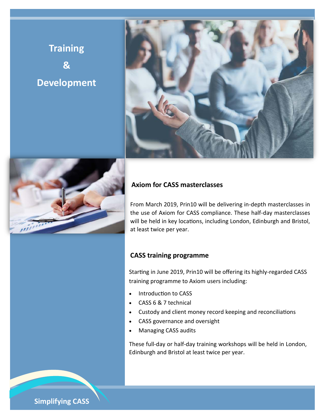## **Training & Development**





## **Axiom for CASS masterclasses**

From March 2019, Prin10 will be delivering in-depth masterclasses in the use of Axiom for CASS compliance. These half-day masterclasses will be held in key locations, including London, Edinburgh and Bristol, at least twice per year.

## **CASS training programme**

Starting in June 2019, Prin10 will be offering its highly-regarded CASS training programme to Axiom users including:

- Introduction to CASS
- CASS 6 & 7 technical
- Custody and client money record keeping and reconciliations
- CASS governance and oversight
- Managing CASS audits

These full-day or half-day training workshops will be held in London, Edinburgh and Bristol at least twice per year.

**Simplifying CASS**